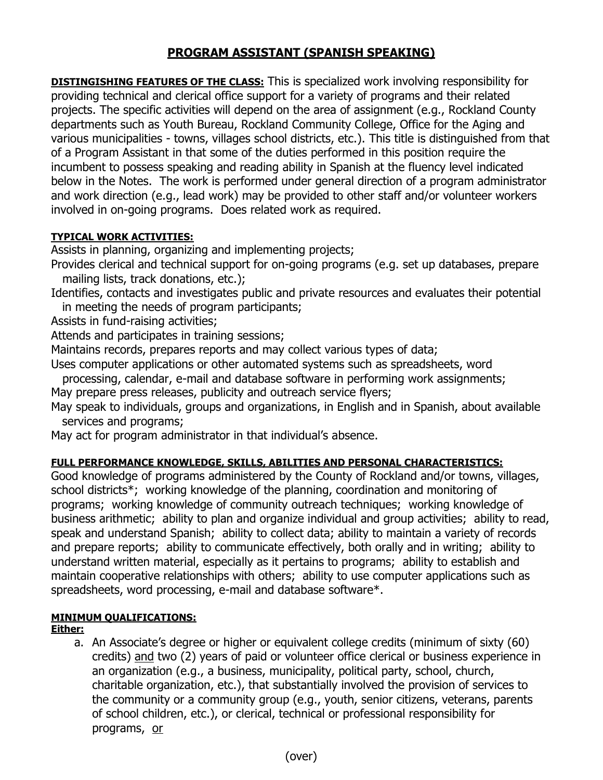# **PROGRAM ASSISTANT (SPANISH SPEAKING)**

**DISTINGISHING FEATURES OF THE CLASS:** This is specialized work involving responsibility for providing technical and clerical office support for a variety of programs and their related projects. The specific activities will depend on the area of assignment (e.g., Rockland County departments such as Youth Bureau, Rockland Community College, Office for the Aging and various municipalities - towns, villages school districts, etc.). This title is distinguished from that of a Program Assistant in that some of the duties performed in this position require the incumbent to possess speaking and reading ability in Spanish at the fluency level indicated below in the Notes. The work is performed under general direction of a program administrator and work direction (e.g., lead work) may be provided to other staff and/or volunteer workers involved in on-going programs. Does related work as required.

### **TYPICAL WORK ACTIVITIES:**

Assists in planning, organizing and implementing projects;

- Provides clerical and technical support for on-going programs (e.g. set up databases, prepare mailing lists, track donations, etc.);
- Identifies, contacts and investigates public and private resources and evaluates their potential in meeting the needs of program participants;
- Assists in fund-raising activities;

Attends and participates in training sessions;

Maintains records, prepares reports and may collect various types of data;

- Uses computer applications or other automated systems such as spreadsheets, word
- processing, calendar, e-mail and database software in performing work assignments; May prepare press releases, publicity and outreach service flyers;
- May speak to individuals, groups and organizations, in English and in Spanish, about available services and programs;

May act for program administrator in that individual's absence.

## **FULL PERFORMANCE KNOWLEDGE, SKILLS, ABILITIES AND PERSONAL CHARACTERISTICS:**

Good knowledge of programs administered by the County of Rockland and/or towns, villages, school districts\*; working knowledge of the planning, coordination and monitoring of programs; working knowledge of community outreach techniques; working knowledge of business arithmetic; ability to plan and organize individual and group activities; ability to read, speak and understand Spanish; ability to collect data; ability to maintain a variety of records and prepare reports; ability to communicate effectively, both orally and in writing; ability to understand written material, especially as it pertains to programs; ability to establish and maintain cooperative relationships with others; ability to use computer applications such as spreadsheets, word processing, e-mail and database software\*.

## **MINIMUM QUALIFICATIONS:**

#### **Either:**

a. An Associate's degree or higher or equivalent college credits (minimum of sixty (60) credits) and two (2) years of paid or volunteer office clerical or business experience in an organization (e.g., a business, municipality, political party, school, church, charitable organization, etc.), that substantially involved the provision of services to the community or a community group (e.g., youth, senior citizens, veterans, parents of school children, etc.), or clerical, technical or professional responsibility for programs, or